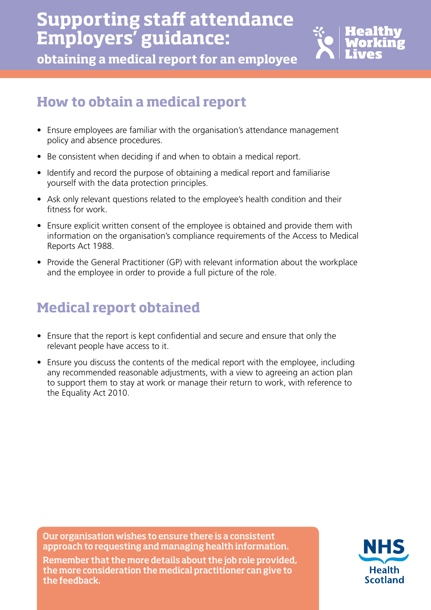# **Supporting staff attendance Employers' guidance:**



**obtaining a medical report for an employee**

# **How to obtain a medical report**

- Ensure employees are familiar with the organisation's attendance management policy and absence procedures.
- Be consistent when deciding if and when to obtain a medical report.
- Identify and record the purpose of obtaining a medical report and familiarise yourself with the data protection principles.
- Ask only relevant questions related to the employee's health condition and their fitness for work.
- Ensure explicit written consent of the employee is obtained and provide them with information on the organisation's compliance requirements of the Access to Medical Reports Act 1988.
- Provide the General Practitioner (GP) with relevant information about the workplace and the employee in order to provide a full picture of the role.

# **Medical report obtained**

- Ensure that the report is kept confidential and secure and ensure that only the relevant people have access to it.
- Ensure you discuss the contents of the medical report with the employee, including any recommended reasonable adjustments, with a view to agreeing an action plan to support them to stay at work or manage their return to work, with reference to the Equality Act 2010.

Our organisation wishes to ensure there is a consistent approach to requesting and managing health information. Remember that the more details about the job role provided, the more consideration the medical practitioner can give to the feedback.

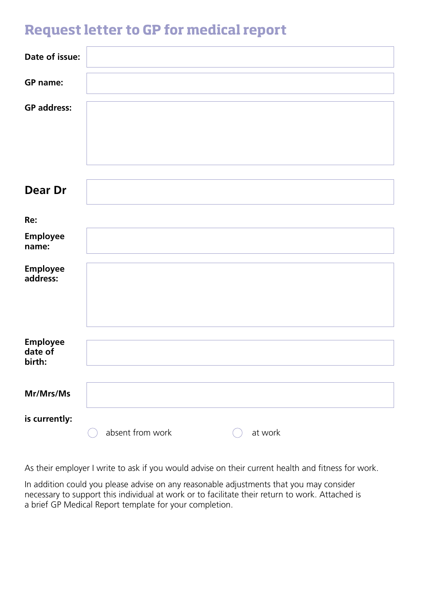#### **Request letter to GP for medical report**

| Date of issue:                       |                             |
|--------------------------------------|-----------------------------|
| <b>GP</b> name:                      |                             |
| <b>GP</b> address:                   |                             |
| <b>Dear Dr</b>                       |                             |
| Re:                                  |                             |
| <b>Employee</b><br>name:             |                             |
| <b>Employee</b><br>address:          |                             |
| <b>Employee</b><br>date of<br>birth: |                             |
| Mr/Mrs/Ms                            |                             |
| is currently:                        | absent from work<br>at work |

As their employer I write to ask if you would advise on their current health and fitness for work.

In addition could you please advise on any reasonable adjustments that you may consider necessary to support this individual at work or to facilitate their return to work. Attached is a brief GP Medical Report template for your completion.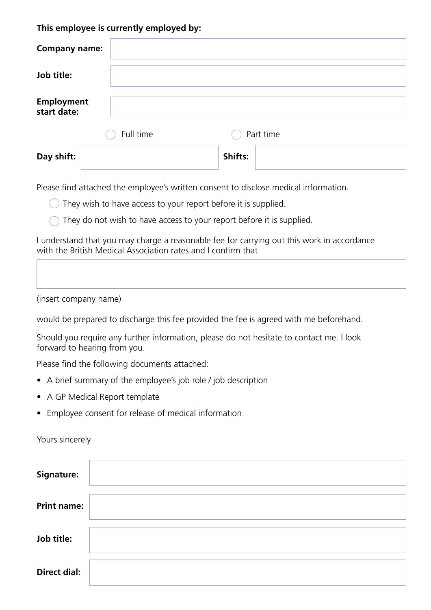#### **This employee is currently employed by:**

| <b>Company name:</b>             |           |           |  |
|----------------------------------|-----------|-----------|--|
| Job title:                       |           |           |  |
| <b>Employment</b><br>start date: |           |           |  |
|                                  | Full time | Part time |  |
| Day shift:                       |           | Shifts:   |  |

Please find attached the employee's written consent to disclose medical information.

 $\bigcirc$  They wish to have access to your report before it is supplied.

They do not wish to have access to your report before it is supplied.

I understand that you may charge a reasonable fee for carrying out this work in accordance with the British Medical Association rates and I confirm that

(insert company name)

would be prepared to discharge this fee provided the fee is agreed with me beforehand.

Should you require any further information, please do not hesitate to contact me. I look forward to hearing from you.

Please find the following documents attached:

- A brief summary of the employee's job role / job description
- A GP Medical Report template
- Employee consent for release of medical information

Yours sincerely

| <b>Signature:</b>   |  |
|---------------------|--|
| <b>Print name:</b>  |  |
| Job title:          |  |
| <b>Direct dial:</b> |  |